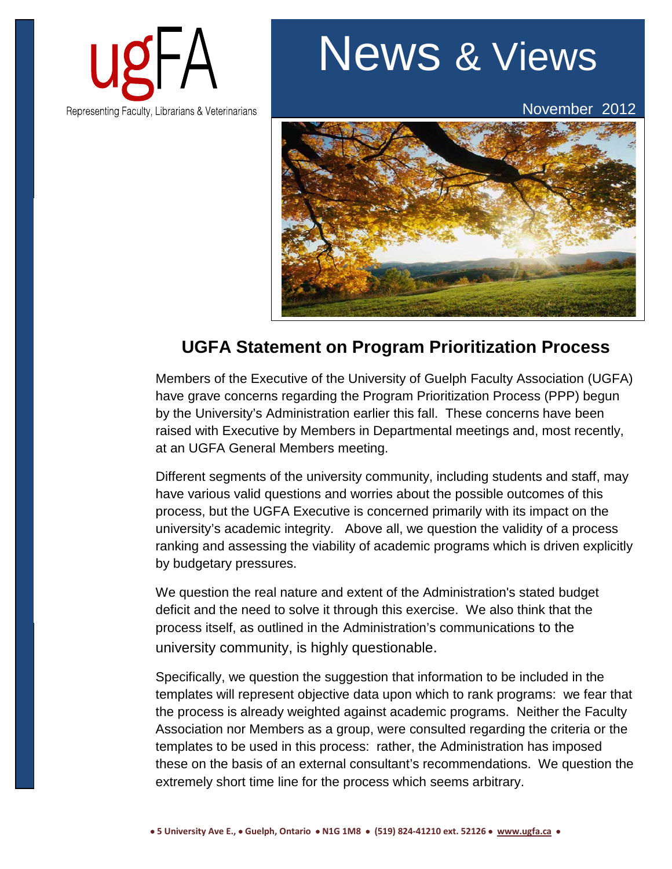

## News & Views

November 2012



## **UGFA Statement on Program Prioritization Process**

Members of the Executive of the University of Guelph Faculty Association (UGFA) have grave concerns regarding the Program Prioritization Process (PPP) begun by the University's Administration earlier this fall. These concerns have been raised with Executive by Members in Departmental meetings and, most recently, at an UGFA General Members meeting.

Different segments of the university community, including students and staff, may have various valid questions and worries about the possible outcomes of this process, but the UGFA Executive is concerned primarily with its impact on the university's academic integrity. Above all, we question the validity of a process ranking and assessing the viability of academic programs which is driven explicitly by budgetary pressures.

We question the real nature and extent of the Administration's stated budget deficit and the need to solve it through this exercise. We also think that the process itself, as outlined in the Administration's communications to the university community, is highly questionable.

Specifically, we question the suggestion that information to be included in the templates will represent objective data upon which to rank programs: we fear that the process is already weighted against academic programs. Neither the Faculty Association nor Members as a group, were consulted regarding the criteria or the templates to be used in this process: rather, the Administration has imposed these on the basis of an external consultant's recommendations. We question the extremely short time line for the process which seems arbitrary.